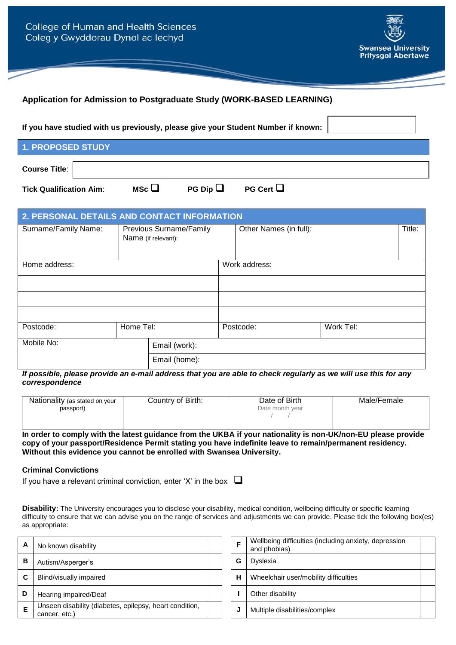

### **Application for Admission to Postgraduate Study (WORK-BASED LEARNING)**

| If you have studied with us previously, please give your Student Number if known: |  |  |  |  |  |
|-----------------------------------------------------------------------------------|--|--|--|--|--|
| <b>1. PROPOSED STUDY</b>                                                          |  |  |  |  |  |
| <b>Course Title:</b>                                                              |  |  |  |  |  |

**Tick Qualification Aim**: **MSc PG Dip PG Cert**

| 2. PERSONAL DETAILS AND CONTACT INFORMATION |           |                                                |  |                        |           |        |
|---------------------------------------------|-----------|------------------------------------------------|--|------------------------|-----------|--------|
| Surname/Family Name:                        |           | Previous Surname/Family<br>Name (if relevant): |  | Other Names (in full): |           | Title: |
| Home address:                               |           |                                                |  | Work address:          |           |        |
|                                             |           |                                                |  |                        |           |        |
|                                             |           |                                                |  |                        |           |        |
|                                             |           |                                                |  |                        |           |        |
| Postcode:                                   | Home Tel: |                                                |  | Postcode:              | Work Tel: |        |
| Mobile No:                                  |           | Email (work):                                  |  |                        |           |        |
|                                             |           | Email (home):                                  |  |                        |           |        |

#### *If possible, please provide an e-mail address that you are able to check regularly as we will use this for any correspondence*

|           |                 | Date of Birth<br>Male/Female |
|-----------|-----------------|------------------------------|
| passport) | Date month year |                              |
|           |                 |                              |
|           |                 |                              |

**In order to comply with the latest guidance from the UKBA if your nationality is non-UK/non-EU please provide copy of your passport/Residence Permit stating you have indefinite leave to remain/permanent residency. Without this evidence you cannot be enrolled with Swansea University.**

#### **Criminal Convictions**

If you have a relevant criminal conviction, enter 'X' in the box  $\Box$ 

**Disability:** The University encourages you to disclose your disability, medical condition, wellbeing difficulty or specific learning difficulty to ensure that we can advise you on the range of services and adjustments we can provide. Please tick the following box(es) as appropriate:

| A | No known disability                                                      |   | Wellbeing difficulties (including anx<br>and phobias) |
|---|--------------------------------------------------------------------------|---|-------------------------------------------------------|
| в | Autism/Asperger's                                                        | G | <b>Dyslexia</b>                                       |
| C | Blind/visually impaired                                                  | н | Wheelchair user/mobility difficulties                 |
| D | Hearing impaired/Deaf                                                    |   | Other disability                                      |
| Е | Unseen disability (diabetes, epilepsy, heart condition,<br>cancer, etc.) | J | Multiple disabilities/complex                         |

| F | Wellbeing difficulties (including anxiety, depression<br>and phobias) |  |
|---|-----------------------------------------------------------------------|--|
| G | Dyslexia                                                              |  |
| н | Wheelchair user/mobility difficulties                                 |  |
|   | Other disability                                                      |  |
| J | Multiple disabilities/complex                                         |  |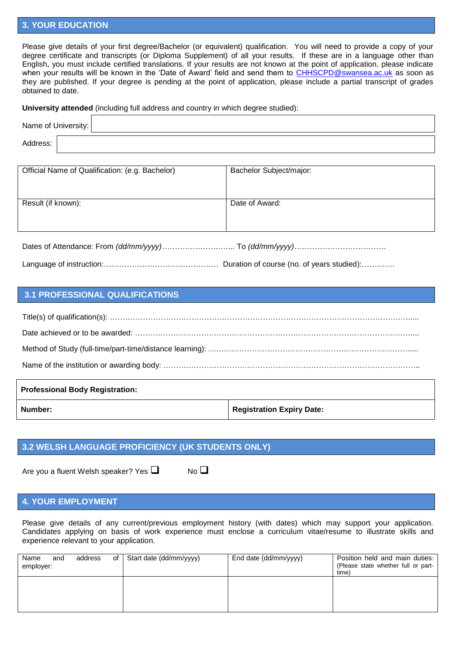### **3. YOUR EDUCATION**

Please give details of your first degree/Bachelor (or equivalent) qualification. You will need to provide a copy of your degree certificate and transcripts (or Diploma Supplement) of all your results. If these are in a language other than English, you must include certified translations. If your results are not known at the point of application, please indicate when your results will be known in the 'Date of Award' field and send them to [CHHSCPD@swansea.ac.uk](mailto:CHHSCPD@swansea.ac.uk) as soon as they are published. If your degree is pending at the point of application, please include a partial transcript of grades obtained to date.

**University attended** (including full address and country in which degree studied):

| Name of University:                                                        |                |  |  |  |  |  |  |
|----------------------------------------------------------------------------|----------------|--|--|--|--|--|--|
| Address:                                                                   |                |  |  |  |  |  |  |
|                                                                            |                |  |  |  |  |  |  |
| Bachelor Subject/major:<br>Official Name of Qualification: (e.g. Bachelor) |                |  |  |  |  |  |  |
|                                                                            |                |  |  |  |  |  |  |
| Result (if known):                                                         | Date of Award: |  |  |  |  |  |  |
|                                                                            |                |  |  |  |  |  |  |
|                                                                            |                |  |  |  |  |  |  |

Dates of Attendance: From *(dd/mm/yyyy)………………………..* To *(dd/mm/yyyy)………………………………*

Language of instruction:……………………………………… Duration of course (no. of years studied):………….

#### **3.1 PROFESSIONAL QUALIFICATIONS**

| <b>Drofoccional Rody Pomictration:</b> |
|----------------------------------------|
|                                        |
|                                        |
|                                        |
|                                        |

**Professional Body Registration:** 

**Number: Registration Expiry Date: Registration Expiry Date: Registration Expiry Date:** 

## **3.2 WELSH LANGUAGE PROFICIENCY (UK STUDENTS ONLY)**

Are you a fluent Welsh speaker? Yes  $\Box$  No  $\Box$ 

#### **4. YOUR EMPLOYMENT**

Please give details of any current/previous employment history (with dates) which may support your application. Candidates applying on basis of work experience must enclose a curriculum vitae/resume to illustrate skills and experience relevant to your application.

| address<br>Name<br>and<br>employer: | Start date (dd/mm/yyyy)<br>of l | End date (dd/mm/yyyy) | Position held and main duties:<br>(Please state whether full or part-<br>time) |
|-------------------------------------|---------------------------------|-----------------------|--------------------------------------------------------------------------------|
|                                     |                                 |                       |                                                                                |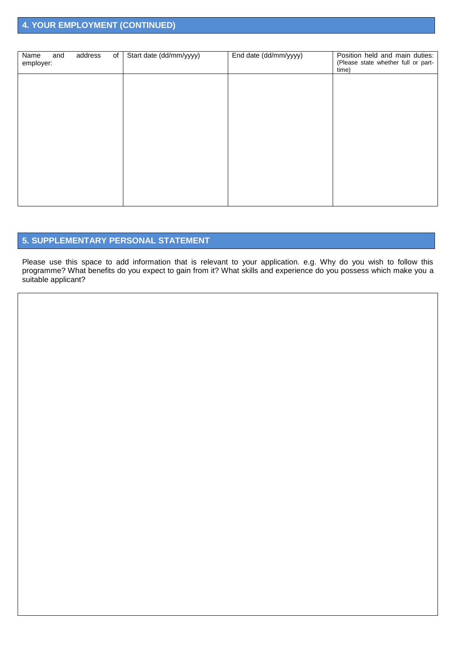# **4. YOUR EMPLOYMENT (CONTINUED)**

| Name<br>and<br>employer: | address | of | Start date (dd/mm/yyyy) | End date (dd/mm/yyyy) | Position held and main duties:<br>(Please state whether full or part-<br>time) |
|--------------------------|---------|----|-------------------------|-----------------------|--------------------------------------------------------------------------------|
|                          |         |    |                         |                       |                                                                                |
|                          |         |    |                         |                       |                                                                                |
|                          |         |    |                         |                       |                                                                                |
|                          |         |    |                         |                       |                                                                                |
|                          |         |    |                         |                       |                                                                                |
|                          |         |    |                         |                       |                                                                                |

# **5. SUPPLEMENTARY PERSONAL STATEMENT**

Please use this space to add information that is relevant to your application. e.g. Why do you wish to follow this programme? What benefits do you expect to gain from it? What skills and experience do you possess which make you a suitable applicant?